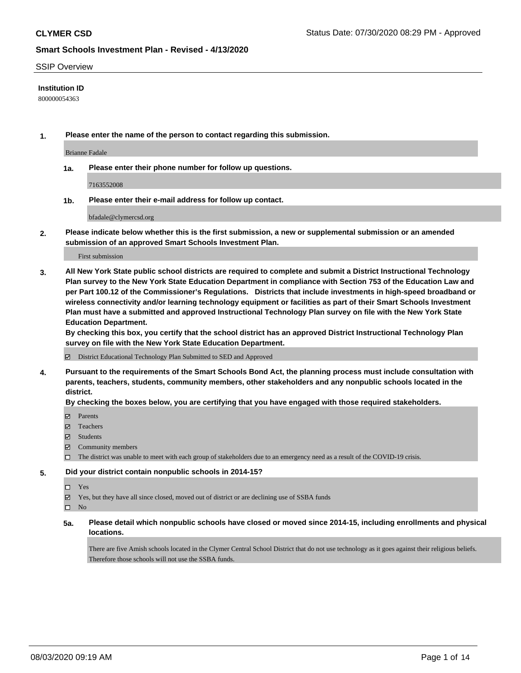### SSIP Overview

### **Institution ID**

800000054363

**1. Please enter the name of the person to contact regarding this submission.**

Brianne Fadale

**1a. Please enter their phone number for follow up questions.**

7163552008

**1b. Please enter their e-mail address for follow up contact.**

bfadale@clymercsd.org

**2. Please indicate below whether this is the first submission, a new or supplemental submission or an amended submission of an approved Smart Schools Investment Plan.**

### First submission

**3. All New York State public school districts are required to complete and submit a District Instructional Technology Plan survey to the New York State Education Department in compliance with Section 753 of the Education Law and per Part 100.12 of the Commissioner's Regulations. Districts that include investments in high-speed broadband or wireless connectivity and/or learning technology equipment or facilities as part of their Smart Schools Investment Plan must have a submitted and approved Instructional Technology Plan survey on file with the New York State Education Department.** 

**By checking this box, you certify that the school district has an approved District Instructional Technology Plan survey on file with the New York State Education Department.**

District Educational Technology Plan Submitted to SED and Approved

**4. Pursuant to the requirements of the Smart Schools Bond Act, the planning process must include consultation with parents, teachers, students, community members, other stakeholders and any nonpublic schools located in the district.** 

#### **By checking the boxes below, you are certifying that you have engaged with those required stakeholders.**

- **Parents**
- Teachers
- Students
- $\boxtimes$  Community members
- The district was unable to meet with each group of stakeholders due to an emergency need as a result of the COVID-19 crisis.

#### **5. Did your district contain nonpublic schools in 2014-15?**

- $\neg$  Yes
- Yes, but they have all since closed, moved out of district or are declining use of SSBA funds

 $\square$  No

**5a. Please detail which nonpublic schools have closed or moved since 2014-15, including enrollments and physical locations.**

There are five Amish schools located in the Clymer Central School District that do not use technology as it goes against their religious beliefs. Therefore those schools will not use the SSBA funds.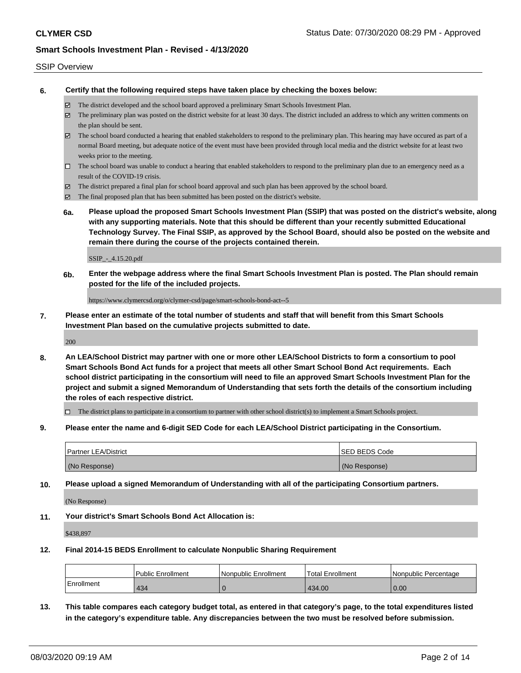### SSIP Overview

**6. Certify that the following required steps have taken place by checking the boxes below:**

- The district developed and the school board approved a preliminary Smart Schools Investment Plan.
- The preliminary plan was posted on the district website for at least 30 days. The district included an address to which any written comments on the plan should be sent.
- $\boxtimes$  The school board conducted a hearing that enabled stakeholders to respond to the preliminary plan. This hearing may have occured as part of a normal Board meeting, but adequate notice of the event must have been provided through local media and the district website for at least two weeks prior to the meeting.
- $\Box$  The school board was unable to conduct a hearing that enabled stakeholders to respond to the preliminary plan due to an emergency need as a result of the COVID-19 crisis.
- The district prepared a final plan for school board approval and such plan has been approved by the school board.
- $\boxtimes$  The final proposed plan that has been submitted has been posted on the district's website.
- **6a. Please upload the proposed Smart Schools Investment Plan (SSIP) that was posted on the district's website, along with any supporting materials. Note that this should be different than your recently submitted Educational Technology Survey. The Final SSIP, as approved by the School Board, should also be posted on the website and remain there during the course of the projects contained therein.**

SSIP\_-\_4.15.20.pdf

**6b. Enter the webpage address where the final Smart Schools Investment Plan is posted. The Plan should remain posted for the life of the included projects.**

https://www.clymercsd.org/o/clymer-csd/page/smart-schools-bond-act--5

**7. Please enter an estimate of the total number of students and staff that will benefit from this Smart Schools Investment Plan based on the cumulative projects submitted to date.**

200

**8. An LEA/School District may partner with one or more other LEA/School Districts to form a consortium to pool Smart Schools Bond Act funds for a project that meets all other Smart School Bond Act requirements. Each school district participating in the consortium will need to file an approved Smart Schools Investment Plan for the project and submit a signed Memorandum of Understanding that sets forth the details of the consortium including the roles of each respective district.**

 $\Box$  The district plans to participate in a consortium to partner with other school district(s) to implement a Smart Schools project.

**9. Please enter the name and 6-digit SED Code for each LEA/School District participating in the Consortium.**

| Partner LEA/District | <b>ISED BEDS Code</b> |
|----------------------|-----------------------|
| (No Response)        | (No Response)         |

**10. Please upload a signed Memorandum of Understanding with all of the participating Consortium partners.**

(No Response)

**11. Your district's Smart Schools Bond Act Allocation is:**

\$438,897

#### **12. Final 2014-15 BEDS Enrollment to calculate Nonpublic Sharing Requirement**

|                   | <b>Public Enrollment</b> | l Nonpublic Enrollment | <b>Total Enrollment</b> | l Nonpublic Percentage |
|-------------------|--------------------------|------------------------|-------------------------|------------------------|
| <b>Enrollment</b> | 434                      |                        | 434.00                  | 0.00                   |

**13. This table compares each category budget total, as entered in that category's page, to the total expenditures listed in the category's expenditure table. Any discrepancies between the two must be resolved before submission.**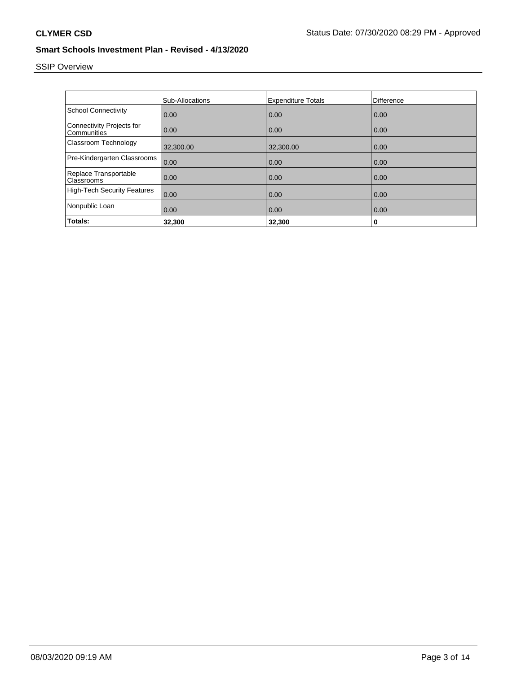# SSIP Overview

|                                                 | <b>Sub-Allocations</b> | <b>Expenditure Totals</b> | Difference |
|-------------------------------------------------|------------------------|---------------------------|------------|
| <b>School Connectivity</b>                      | 0.00                   | 0.00                      | 0.00       |
| <b>Connectivity Projects for</b><br>Communities | 0.00                   | 0.00                      | 0.00       |
| Classroom Technology                            | 32,300.00              | 32,300.00                 | 0.00       |
| Pre-Kindergarten Classrooms                     | 0.00                   | 0.00                      | 0.00       |
| Replace Transportable<br>Classrooms             | 0.00                   | 0.00                      | 0.00       |
| <b>High-Tech Security Features</b>              | 0.00                   | 0.00                      | 0.00       |
| Nonpublic Loan                                  | 0.00                   | 0.00                      | 0.00       |
| Totals:                                         | 32,300                 | 32,300                    | 0          |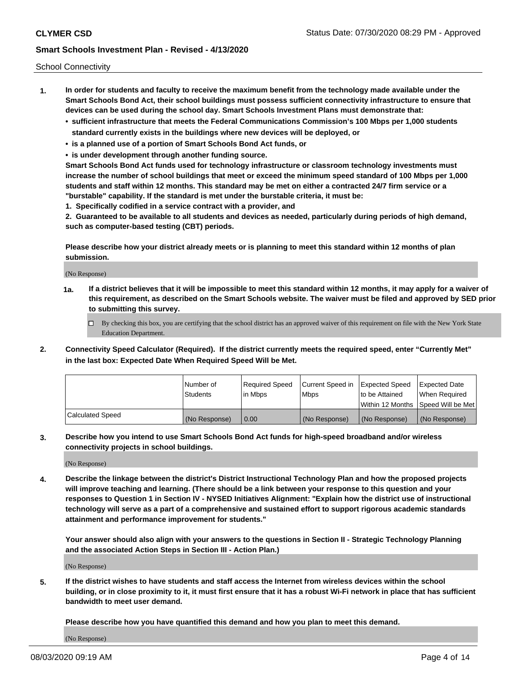School Connectivity

- **1. In order for students and faculty to receive the maximum benefit from the technology made available under the Smart Schools Bond Act, their school buildings must possess sufficient connectivity infrastructure to ensure that devices can be used during the school day. Smart Schools Investment Plans must demonstrate that:**
	- **• sufficient infrastructure that meets the Federal Communications Commission's 100 Mbps per 1,000 students standard currently exists in the buildings where new devices will be deployed, or**
	- **• is a planned use of a portion of Smart Schools Bond Act funds, or**
	- **• is under development through another funding source.**

**Smart Schools Bond Act funds used for technology infrastructure or classroom technology investments must increase the number of school buildings that meet or exceed the minimum speed standard of 100 Mbps per 1,000 students and staff within 12 months. This standard may be met on either a contracted 24/7 firm service or a "burstable" capability. If the standard is met under the burstable criteria, it must be:**

**1. Specifically codified in a service contract with a provider, and**

**2. Guaranteed to be available to all students and devices as needed, particularly during periods of high demand, such as computer-based testing (CBT) periods.**

**Please describe how your district already meets or is planning to meet this standard within 12 months of plan submission.**

(No Response)

**1a. If a district believes that it will be impossible to meet this standard within 12 months, it may apply for a waiver of this requirement, as described on the Smart Schools website. The waiver must be filed and approved by SED prior to submitting this survey.**

 $\Box$  By checking this box, you are certifying that the school district has an approved waiver of this requirement on file with the New York State Education Department.

**2. Connectivity Speed Calculator (Required). If the district currently meets the required speed, enter "Currently Met" in the last box: Expected Date When Required Speed Will be Met.**

|                  | l Number of     | Required Speed | Current Speed in | Expected Speed  | Expected Date                           |
|------------------|-----------------|----------------|------------------|-----------------|-----------------------------------------|
|                  | <b>Students</b> | In Mbps        | l Mbps           | to be Attained  | When Required                           |
|                  |                 |                |                  |                 | l Within 12 Months ISpeed Will be Met l |
| Calculated Speed | (No Response)   | 0.00           | (No Response)    | l (No Response) | l (No Response)                         |

**3. Describe how you intend to use Smart Schools Bond Act funds for high-speed broadband and/or wireless connectivity projects in school buildings.**

(No Response)

**4. Describe the linkage between the district's District Instructional Technology Plan and how the proposed projects will improve teaching and learning. (There should be a link between your response to this question and your responses to Question 1 in Section IV - NYSED Initiatives Alignment: "Explain how the district use of instructional technology will serve as a part of a comprehensive and sustained effort to support rigorous academic standards attainment and performance improvement for students."** 

**Your answer should also align with your answers to the questions in Section II - Strategic Technology Planning and the associated Action Steps in Section III - Action Plan.)**

(No Response)

**5. If the district wishes to have students and staff access the Internet from wireless devices within the school building, or in close proximity to it, it must first ensure that it has a robust Wi-Fi network in place that has sufficient bandwidth to meet user demand.**

**Please describe how you have quantified this demand and how you plan to meet this demand.**

(No Response)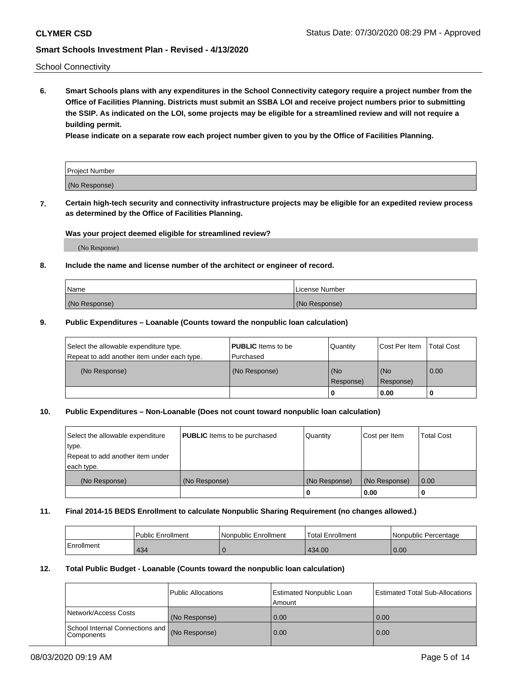School Connectivity

**6. Smart Schools plans with any expenditures in the School Connectivity category require a project number from the Office of Facilities Planning. Districts must submit an SSBA LOI and receive project numbers prior to submitting the SSIP. As indicated on the LOI, some projects may be eligible for a streamlined review and will not require a building permit.**

**Please indicate on a separate row each project number given to you by the Office of Facilities Planning.**

| Project Number |  |
|----------------|--|
| (No Response)  |  |

**7. Certain high-tech security and connectivity infrastructure projects may be eligible for an expedited review process as determined by the Office of Facilities Planning.**

### **Was your project deemed eligible for streamlined review?**

(No Response)

### **8. Include the name and license number of the architect or engineer of record.**

| Name          | License Number |
|---------------|----------------|
| (No Response) | (No Response)  |

### **9. Public Expenditures – Loanable (Counts toward the nonpublic loan calculation)**

| Select the allowable expenditure type.<br>Repeat to add another item under each type. | <b>PUBLIC</b> Items to be<br>l Purchased | Quantity         | l Cost Per Item  | <b>Total Cost</b> |
|---------------------------------------------------------------------------------------|------------------------------------------|------------------|------------------|-------------------|
| (No Response)                                                                         | (No Response)                            | (No<br>Response) | (No<br>Response) | 0.00              |
|                                                                                       |                                          | 0                | 0.00             |                   |

## **10. Public Expenditures – Non-Loanable (Does not count toward nonpublic loan calculation)**

| Select the allowable expenditure<br>type.      | <b>PUBLIC</b> Items to be purchased | Quantity      | Cost per Item | <b>Total Cost</b> |
|------------------------------------------------|-------------------------------------|---------------|---------------|-------------------|
| Repeat to add another item under<br>each type. |                                     |               |               |                   |
| (No Response)                                  | (No Response)                       | (No Response) | (No Response) | 0.00              |
|                                                |                                     |               | 0.00          |                   |

#### **11. Final 2014-15 BEDS Enrollment to calculate Nonpublic Sharing Requirement (no changes allowed.)**

|            | Public Enrollment | Nonpublic Enrollment | 'Total Enrollment | l Nonpublic Percentage |
|------------|-------------------|----------------------|-------------------|------------------------|
| Enrollment | 434               |                      | 434.00            | 0.00                   |

### **12. Total Public Budget - Loanable (Counts toward the nonpublic loan calculation)**

|                                               | Public Allocations | <b>Estimated Nonpublic Loan</b><br>Amount | Estimated Total Sub-Allocations |
|-----------------------------------------------|--------------------|-------------------------------------------|---------------------------------|
| Network/Access Costs                          | (No Response)      | 0.00                                      | 0.00                            |
| School Internal Connections and<br>Components | (No Response)      | 0.00                                      | 0.00                            |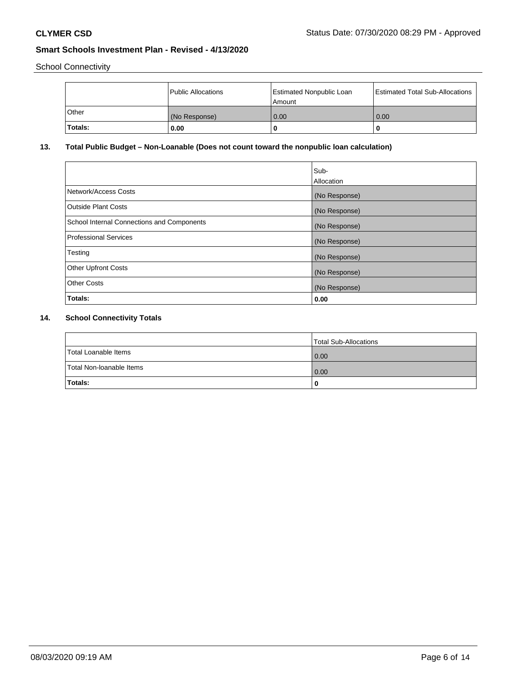School Connectivity

|         | Public Allocations | <b>Estimated Nonpublic Loan</b><br>l Amount | Estimated Total Sub-Allocations |
|---------|--------------------|---------------------------------------------|---------------------------------|
| l Other | (No Response)      | 0.00                                        | 0.00                            |
| Totals: | 0.00               | 0                                           |                                 |

## **13. Total Public Budget – Non-Loanable (Does not count toward the nonpublic loan calculation)**

|                                                   | Sub-<br>Allocation |
|---------------------------------------------------|--------------------|
| Network/Access Costs                              | (No Response)      |
| <b>Outside Plant Costs</b>                        | (No Response)      |
| <b>School Internal Connections and Components</b> | (No Response)      |
| <b>Professional Services</b>                      | (No Response)      |
| Testing                                           | (No Response)      |
| <b>Other Upfront Costs</b>                        | (No Response)      |
| <b>Other Costs</b>                                | (No Response)      |
| Totals:                                           | 0.00               |

## **14. School Connectivity Totals**

|                          | Total Sub-Allocations |
|--------------------------|-----------------------|
| Total Loanable Items     | 0.00                  |
| Total Non-Ioanable Items | 0.00                  |
| Totals:                  | 0                     |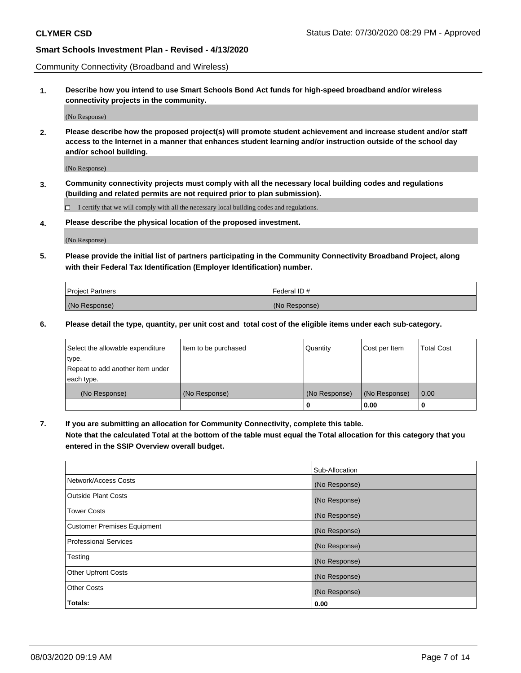Community Connectivity (Broadband and Wireless)

**1. Describe how you intend to use Smart Schools Bond Act funds for high-speed broadband and/or wireless connectivity projects in the community.**

(No Response)

**2. Please describe how the proposed project(s) will promote student achievement and increase student and/or staff access to the Internet in a manner that enhances student learning and/or instruction outside of the school day and/or school building.**

(No Response)

**3. Community connectivity projects must comply with all the necessary local building codes and regulations (building and related permits are not required prior to plan submission).**

 $\Box$  I certify that we will comply with all the necessary local building codes and regulations.

**4. Please describe the physical location of the proposed investment.**

(No Response)

**5. Please provide the initial list of partners participating in the Community Connectivity Broadband Project, along with their Federal Tax Identification (Employer Identification) number.**

| <b>Project Partners</b> | l Federal ID # |
|-------------------------|----------------|
| (No Response)           | (No Response)  |

**6. Please detail the type, quantity, per unit cost and total cost of the eligible items under each sub-category.**

| Select the allowable expenditure | Item to be purchased | Quantity      | Cost per Item | <b>Total Cost</b> |
|----------------------------------|----------------------|---------------|---------------|-------------------|
| type.                            |                      |               |               |                   |
| Repeat to add another item under |                      |               |               |                   |
| each type.                       |                      |               |               |                   |
| (No Response)                    | (No Response)        | (No Response) | (No Response) | 0.00              |
|                                  |                      | o             | 0.00          |                   |

**7. If you are submitting an allocation for Community Connectivity, complete this table.**

**Note that the calculated Total at the bottom of the table must equal the Total allocation for this category that you entered in the SSIP Overview overall budget.**

|                                    | Sub-Allocation |
|------------------------------------|----------------|
| Network/Access Costs               | (No Response)  |
| Outside Plant Costs                | (No Response)  |
| <b>Tower Costs</b>                 | (No Response)  |
| <b>Customer Premises Equipment</b> | (No Response)  |
| <b>Professional Services</b>       | (No Response)  |
| Testing                            | (No Response)  |
| <b>Other Upfront Costs</b>         | (No Response)  |
| <b>Other Costs</b>                 | (No Response)  |
| Totals:                            | 0.00           |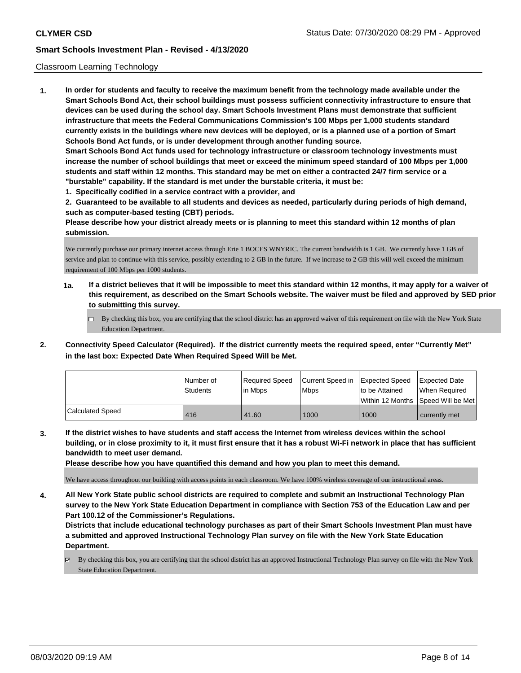### Classroom Learning Technology

**1. In order for students and faculty to receive the maximum benefit from the technology made available under the Smart Schools Bond Act, their school buildings must possess sufficient connectivity infrastructure to ensure that devices can be used during the school day. Smart Schools Investment Plans must demonstrate that sufficient infrastructure that meets the Federal Communications Commission's 100 Mbps per 1,000 students standard currently exists in the buildings where new devices will be deployed, or is a planned use of a portion of Smart Schools Bond Act funds, or is under development through another funding source. Smart Schools Bond Act funds used for technology infrastructure or classroom technology investments must increase the number of school buildings that meet or exceed the minimum speed standard of 100 Mbps per 1,000 students and staff within 12 months. This standard may be met on either a contracted 24/7 firm service or a "burstable" capability. If the standard is met under the burstable criteria, it must be:**

**1. Specifically codified in a service contract with a provider, and**

**2. Guaranteed to be available to all students and devices as needed, particularly during periods of high demand, such as computer-based testing (CBT) periods.**

**Please describe how your district already meets or is planning to meet this standard within 12 months of plan submission.**

We currently purchase our primary internet access through Erie 1 BOCES WNYRIC. The current bandwidth is 1 GB. We currently have 1 GB of service and plan to continue with this service, possibly extending to 2 GB in the future. If we increase to 2 GB this will well exceed the minimum requirement of 100 Mbps per 1000 students.

- **1a. If a district believes that it will be impossible to meet this standard within 12 months, it may apply for a waiver of this requirement, as described on the Smart Schools website. The waiver must be filed and approved by SED prior to submitting this survey.**
	- By checking this box, you are certifying that the school district has an approved waiver of this requirement on file with the New York State Education Department.
- **2. Connectivity Speed Calculator (Required). If the district currently meets the required speed, enter "Currently Met" in the last box: Expected Date When Required Speed Will be Met.**

|                         | l Number of | Required Speed | Current Speed in | <b>Expected Speed</b> | Expected Date     |
|-------------------------|-------------|----------------|------------------|-----------------------|-------------------|
|                         | Students    | l in Mbps      | <b>Mbps</b>      | to be Attained        | When Required     |
|                         |             |                |                  | l Within 12 Months    | Speed Will be Met |
| <b>Calculated Speed</b> | 416         | 41.60          | 1000             | 1000                  | currently met     |

**3. If the district wishes to have students and staff access the Internet from wireless devices within the school building, or in close proximity to it, it must first ensure that it has a robust Wi-Fi network in place that has sufficient bandwidth to meet user demand.**

**Please describe how you have quantified this demand and how you plan to meet this demand.**

We have access throughout our building with access points in each classroom. We have 100% wireless coverage of our instructional areas.

**4. All New York State public school districts are required to complete and submit an Instructional Technology Plan survey to the New York State Education Department in compliance with Section 753 of the Education Law and per Part 100.12 of the Commissioner's Regulations.**

**Districts that include educational technology purchases as part of their Smart Schools Investment Plan must have a submitted and approved Instructional Technology Plan survey on file with the New York State Education Department.**

By checking this box, you are certifying that the school district has an approved Instructional Technology Plan survey on file with the New York State Education Department.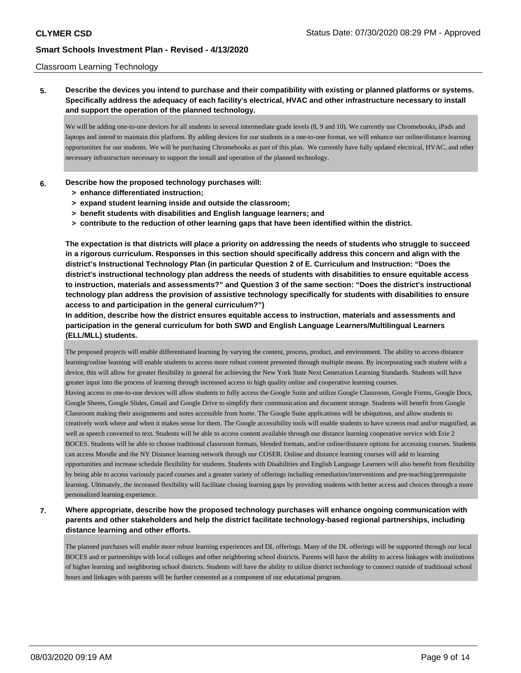### Classroom Learning Technology

## **5. Describe the devices you intend to purchase and their compatibility with existing or planned platforms or systems. Specifically address the adequacy of each facility's electrical, HVAC and other infrastructure necessary to install and support the operation of the planned technology.**

We will be adding one-to-one devices for all students in several intermediate grade levels (8, 9 and 10). We currently use Chromebooks, iPads and laptops and intend to maintain this platform. By adding devices for our students in a one-to-one format, we will enhance our online/distance learning opportunities for our students. We will be purchasing Chromebooks as part of this plan. We currently have fully updated electrical, HVAC, and other necessary infrastructure necessary to support the install and operation of the planned technology.

### **6. Describe how the proposed technology purchases will:**

- **> enhance differentiated instruction;**
- **> expand student learning inside and outside the classroom;**
- **> benefit students with disabilities and English language learners; and**
- **> contribute to the reduction of other learning gaps that have been identified within the district.**

**The expectation is that districts will place a priority on addressing the needs of students who struggle to succeed in a rigorous curriculum. Responses in this section should specifically address this concern and align with the district's Instructional Technology Plan (in particular Question 2 of E. Curriculum and Instruction: "Does the district's instructional technology plan address the needs of students with disabilities to ensure equitable access to instruction, materials and assessments?" and Question 3 of the same section: "Does the district's instructional technology plan address the provision of assistive technology specifically for students with disabilities to ensure access to and participation in the general curriculum?")**

**In addition, describe how the district ensures equitable access to instruction, materials and assessments and participation in the general curriculum for both SWD and English Language Learners/Multilingual Learners (ELL/MLL) students.**

The proposed projects will enable differentiated learning by varying the content, process, product, and environment. The ability to access distance learning/online learning will enable students to access more robust content presented through multiple means. By incorporating each student with a device, this will allow for greater flexibility in general for achieving the New York State Next Generation Learning Standards. Students will have greater input into the process of learning through increased access to high quality online and cooperative learning courses. Having access to one-to-one devices will allow students to fully access the Google Suite and utilize Google Classroom, Google Forms, Google Docs, Google Sheets, Google Slides, Gmail and Google Drive to simplify their communication and document storage. Students will benefit from Google Classroom making their assignments and notes accessible from home. The Google Suite applications will be ubiquitous, and allow students to creatively work where and when it makes sense for them. The Google accessibility tools will enable students to have screens read and/or magnified, as well as speech converted to text. Students will be able to access content available through our distance learning cooperative service with Erie 2 BOCES. Students will be able to choose traditional classroom formats, blended formats, and/or online/distance options for accessing courses. Students can access Moodle and the NY Distance learning network through our COSER. Online and distance learning courses will add to learning opportunities and increase schedule flexibility for students. Students with Disabilities and English Language Learners will also benefit from flexibility by being able to access variously paced courses and a greater variety of offerings including remediation/interventions and pre-teaching/prerequisite learning. Ultimately, the increased flexibility will facilitate closing learning gaps by providing students with better access and choices through a more personalized learning experience.

**7. Where appropriate, describe how the proposed technology purchases will enhance ongoing communication with parents and other stakeholders and help the district facilitate technology-based regional partnerships, including distance learning and other efforts.**

The planned purchases will enable more robust learning experiences and DL offerings. Many of the DL offerings will be supported through our local BOCES and or partnerships with local colleges and other neighboring school districts. Parents will have the ability to access linkages with institutions of higher learning and neighboring school districts. Students will have the ability to utilize district technology to connect outside of traditional school hours and linkages with parents will be further cemented as a component of our educational program.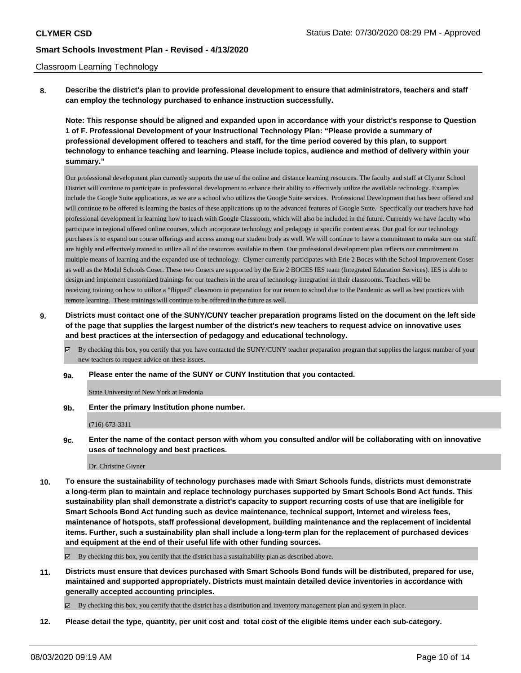### Classroom Learning Technology

**8. Describe the district's plan to provide professional development to ensure that administrators, teachers and staff can employ the technology purchased to enhance instruction successfully.**

**Note: This response should be aligned and expanded upon in accordance with your district's response to Question 1 of F. Professional Development of your Instructional Technology Plan: "Please provide a summary of professional development offered to teachers and staff, for the time period covered by this plan, to support technology to enhance teaching and learning. Please include topics, audience and method of delivery within your summary."**

Our professional development plan currently supports the use of the online and distance learning resources. The faculty and staff at Clymer School District will continue to participate in professional development to enhance their ability to effectively utilize the available technology. Examples include the Google Suite applications, as we are a school who utilizes the Google Suite services. Professional Development that has been offered and will continue to be offered is learning the basics of these applications up to the advanced features of Google Suite. Specifically our teachers have had professional development in learning how to teach with Google Classroom, which will also be included in the future. Currently we have faculty who participate in regional offered online courses, which incorporate technology and pedagogy in specific content areas. Our goal for our technology purchases is to expand our course offerings and access among our student body as well. We will continue to have a commitment to make sure our staff are highly and effectively trained to utilize all of the resources available to them. Our professional development plan reflects our commitment to multiple means of learning and the expanded use of technology. Clymer currently participates with Erie 2 Boces with the School Improvement Coser as well as the Model Schools Coser. These two Cosers are supported by the Erie 2 BOCES IES team (Integrated Education Services). IES is able to design and implement customized trainings for our teachers in the area of technology integration in their classrooms. Teachers will be receiving training on how to utilize a "flipped" classroom in preparation for our return to school due to the Pandemic as well as best practices with remote learning. These trainings will continue to be offered in the future as well.

- **9. Districts must contact one of the SUNY/CUNY teacher preparation programs listed on the document on the left side of the page that supplies the largest number of the district's new teachers to request advice on innovative uses and best practices at the intersection of pedagogy and educational technology.**
	- By checking this box, you certify that you have contacted the SUNY/CUNY teacher preparation program that supplies the largest number of your new teachers to request advice on these issues.
	- **9a. Please enter the name of the SUNY or CUNY Institution that you contacted.**

State University of New York at Fredonia

**9b. Enter the primary Institution phone number.**

#### (716) 673-3311

**9c. Enter the name of the contact person with whom you consulted and/or will be collaborating with on innovative uses of technology and best practices.**

Dr. Christine Givner

**10. To ensure the sustainability of technology purchases made with Smart Schools funds, districts must demonstrate a long-term plan to maintain and replace technology purchases supported by Smart Schools Bond Act funds. This sustainability plan shall demonstrate a district's capacity to support recurring costs of use that are ineligible for Smart Schools Bond Act funding such as device maintenance, technical support, Internet and wireless fees, maintenance of hotspots, staff professional development, building maintenance and the replacement of incidental items. Further, such a sustainability plan shall include a long-term plan for the replacement of purchased devices and equipment at the end of their useful life with other funding sources.**

By checking this box, you certify that the district has a sustainability plan as described above.

**11. Districts must ensure that devices purchased with Smart Schools Bond funds will be distributed, prepared for use, maintained and supported appropriately. Districts must maintain detailed device inventories in accordance with generally accepted accounting principles.**

 $\boxtimes$  By checking this box, you certify that the district has a distribution and inventory management plan and system in place.

**12. Please detail the type, quantity, per unit cost and total cost of the eligible items under each sub-category.**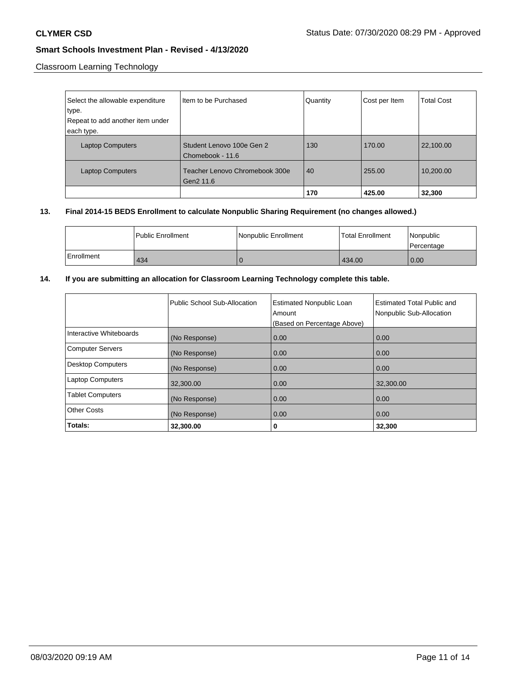Classroom Learning Technology

| Select the allowable expenditure<br>∣type.<br>Repeat to add another item under | Item to be Purchased                          | Quantity | Cost per Item | <b>Total Cost</b> |
|--------------------------------------------------------------------------------|-----------------------------------------------|----------|---------------|-------------------|
| each type.<br><b>Laptop Computers</b>                                          | Student Lenovo 100e Gen 2<br>Chomebook - 11.6 | 130      | 170.00        | 22,100.00         |
| <b>Laptop Computers</b>                                                        | Teacher Lenovo Chromebook 300e<br>Gen2 11.6   | 40       | 255.00        | 10,200.00         |
|                                                                                |                                               | 170      | 425.00        | 32,300            |

## **13. Final 2014-15 BEDS Enrollment to calculate Nonpublic Sharing Requirement (no changes allowed.)**

|            | <b>Public Enrollment</b> | l Nonpublic Enrollment | <b>Total Enrollment</b> | l Nonpublic<br>Percentage |
|------------|--------------------------|------------------------|-------------------------|---------------------------|
| Enrollment | 434                      |                        | 434.00                  | 0.00                      |

## **14. If you are submitting an allocation for Classroom Learning Technology complete this table.**

|                          | Public School Sub-Allocation | <b>Estimated Nonpublic Loan</b><br>Amount<br>(Based on Percentage Above) | Estimated Total Public and<br>Nonpublic Sub-Allocation |
|--------------------------|------------------------------|--------------------------------------------------------------------------|--------------------------------------------------------|
| Interactive Whiteboards  | (No Response)                | 0.00                                                                     | 0.00                                                   |
| <b>Computer Servers</b>  | (No Response)                | 0.00                                                                     | 0.00                                                   |
| <b>Desktop Computers</b> | (No Response)                | 0.00                                                                     | 0.00                                                   |
| <b>Laptop Computers</b>  | 32,300.00                    | 0.00                                                                     | 32,300.00                                              |
| <b>Tablet Computers</b>  | (No Response)                | 0.00                                                                     | 0.00                                                   |
| <b>Other Costs</b>       | (No Response)                | 0.00                                                                     | 0.00                                                   |
| Totals:                  | 32,300.00                    | 0                                                                        | 32,300                                                 |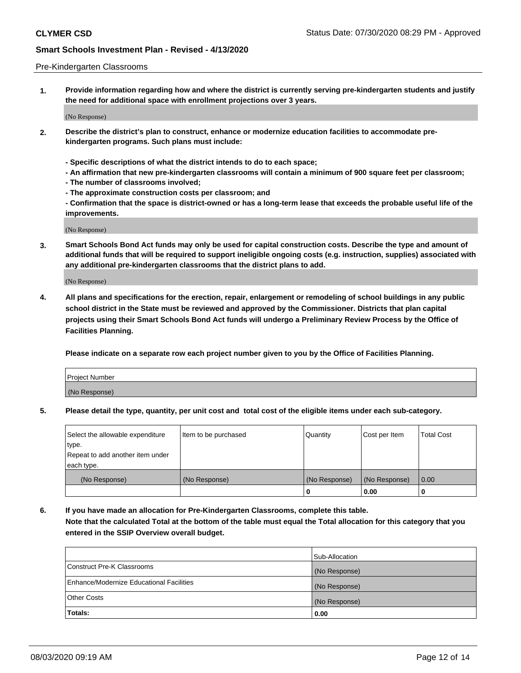### Pre-Kindergarten Classrooms

**1. Provide information regarding how and where the district is currently serving pre-kindergarten students and justify the need for additional space with enrollment projections over 3 years.**

(No Response)

- **2. Describe the district's plan to construct, enhance or modernize education facilities to accommodate prekindergarten programs. Such plans must include:**
	- **Specific descriptions of what the district intends to do to each space;**
	- **An affirmation that new pre-kindergarten classrooms will contain a minimum of 900 square feet per classroom;**
	- **The number of classrooms involved;**
	- **The approximate construction costs per classroom; and**
	- **Confirmation that the space is district-owned or has a long-term lease that exceeds the probable useful life of the improvements.**

(No Response)

**3. Smart Schools Bond Act funds may only be used for capital construction costs. Describe the type and amount of additional funds that will be required to support ineligible ongoing costs (e.g. instruction, supplies) associated with any additional pre-kindergarten classrooms that the district plans to add.**

(No Response)

**4. All plans and specifications for the erection, repair, enlargement or remodeling of school buildings in any public school district in the State must be reviewed and approved by the Commissioner. Districts that plan capital projects using their Smart Schools Bond Act funds will undergo a Preliminary Review Process by the Office of Facilities Planning.**

**Please indicate on a separate row each project number given to you by the Office of Facilities Planning.**

| Project Number |  |
|----------------|--|
| (No Response)  |  |
|                |  |

**5. Please detail the type, quantity, per unit cost and total cost of the eligible items under each sub-category.**

| Select the allowable expenditure | Item to be purchased | Quantity      | Cost per Item | <b>Total Cost</b> |
|----------------------------------|----------------------|---------------|---------------|-------------------|
| type.                            |                      |               |               |                   |
| Repeat to add another item under |                      |               |               |                   |
| each type.                       |                      |               |               |                   |
| (No Response)                    | (No Response)        | (No Response) | (No Response) | 0.00              |
|                                  |                      | υ             | 0.00          |                   |

**6. If you have made an allocation for Pre-Kindergarten Classrooms, complete this table. Note that the calculated Total at the bottom of the table must equal the Total allocation for this category that you entered in the SSIP Overview overall budget.**

|                                          | Sub-Allocation |
|------------------------------------------|----------------|
| Construct Pre-K Classrooms               | (No Response)  |
| Enhance/Modernize Educational Facilities | (No Response)  |
| <b>Other Costs</b>                       | (No Response)  |
| Totals:                                  | 0.00           |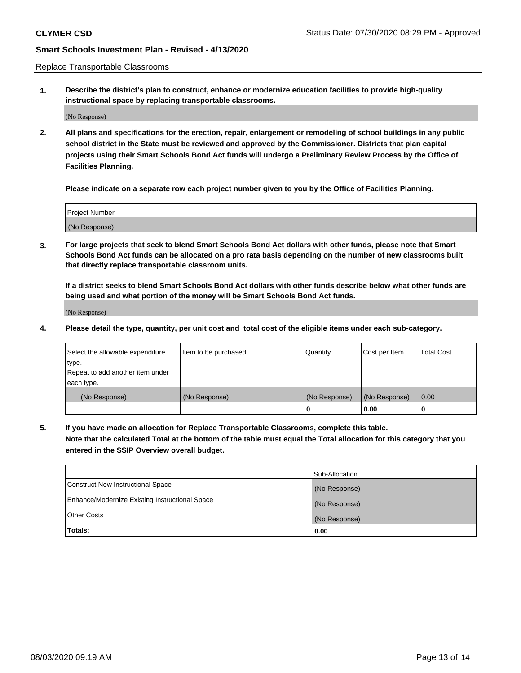Replace Transportable Classrooms

**1. Describe the district's plan to construct, enhance or modernize education facilities to provide high-quality instructional space by replacing transportable classrooms.**

(No Response)

**2. All plans and specifications for the erection, repair, enlargement or remodeling of school buildings in any public school district in the State must be reviewed and approved by the Commissioner. Districts that plan capital projects using their Smart Schools Bond Act funds will undergo a Preliminary Review Process by the Office of Facilities Planning.**

**Please indicate on a separate row each project number given to you by the Office of Facilities Planning.**

| Project Number |  |
|----------------|--|
|                |  |
|                |  |
|                |  |
|                |  |
| (No Response)  |  |
|                |  |
|                |  |
|                |  |

**3. For large projects that seek to blend Smart Schools Bond Act dollars with other funds, please note that Smart Schools Bond Act funds can be allocated on a pro rata basis depending on the number of new classrooms built that directly replace transportable classroom units.**

**If a district seeks to blend Smart Schools Bond Act dollars with other funds describe below what other funds are being used and what portion of the money will be Smart Schools Bond Act funds.**

(No Response)

**4. Please detail the type, quantity, per unit cost and total cost of the eligible items under each sub-category.**

| Select the allowable expenditure           | Item to be purchased | Quantity      | Cost per Item | <b>Total Cost</b> |
|--------------------------------------------|----------------------|---------------|---------------|-------------------|
| ∣type.<br>Repeat to add another item under |                      |               |               |                   |
| each type.                                 |                      |               |               |                   |
| (No Response)                              | (No Response)        | (No Response) | (No Response) | 0.00              |
|                                            |                      | 0             | 0.00          |                   |

**5. If you have made an allocation for Replace Transportable Classrooms, complete this table. Note that the calculated Total at the bottom of the table must equal the Total allocation for this category that you entered in the SSIP Overview overall budget.**

|                                                | Sub-Allocation |
|------------------------------------------------|----------------|
| Construct New Instructional Space              | (No Response)  |
| Enhance/Modernize Existing Instructional Space | (No Response)  |
| Other Costs                                    | (No Response)  |
| Totals:                                        | 0.00           |